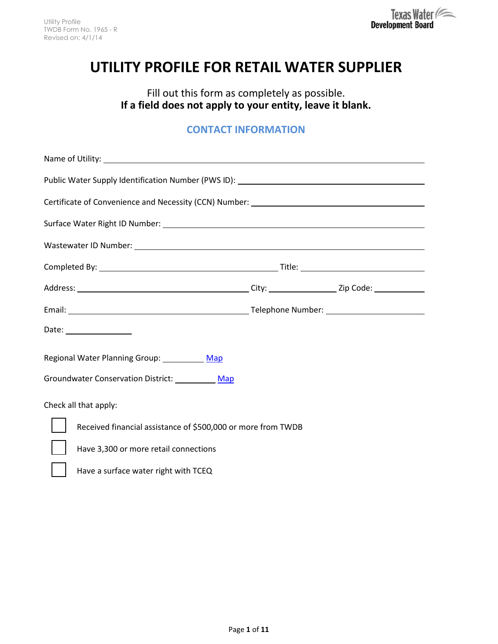# **UTILITY PROFILE FOR RETAIL WATER SUPPLIER**

Fill out this form as completely as possible. **If a field does not apply to your entity, leave it blank.**

## **CONTACT INFORMATION**

| Public Water Supply Identification Number (PWS ID): _____________________________ |  |
|-----------------------------------------------------------------------------------|--|
|                                                                                   |  |
|                                                                                   |  |
|                                                                                   |  |
|                                                                                   |  |
|                                                                                   |  |
|                                                                                   |  |
| Date: _________________                                                           |  |
| Regional Water Planning Group: Map                                                |  |
| Groundwater Conservation District: Map                                            |  |
| Check all that apply:                                                             |  |
| Received financial assistance of \$500,000 or more from TWDB                      |  |
| Have 3,300 or more retail connections                                             |  |
| Have a surface water right with TCEQ                                              |  |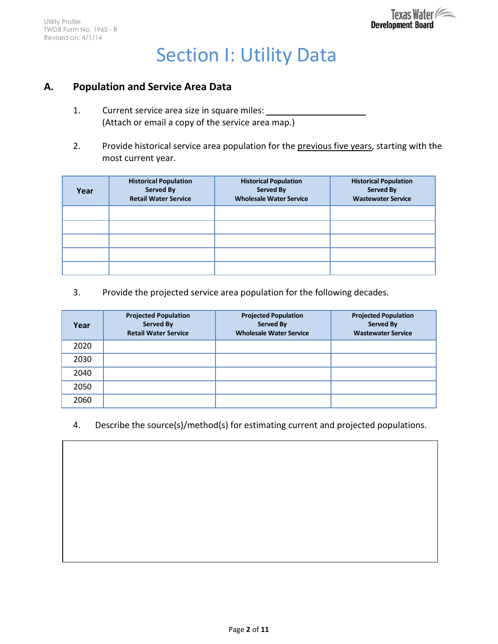# Section I: Utility Data

#### **A. Population and Service Area Data**

- 1. Current service area size in square miles: (Attach or email a copy of the service area map.)
- 2. Provide historical service area population for the previous five years, starting with the most current year.

| Year | <b>Historical Population</b><br><b>Served By</b><br><b>Retail Water Service</b> | <b>Historical Population</b><br><b>Served By</b><br><b>Wholesale Water Service</b> | <b>Historical Population</b><br><b>Served By</b><br><b>Wastewater Service</b> |
|------|---------------------------------------------------------------------------------|------------------------------------------------------------------------------------|-------------------------------------------------------------------------------|
|      |                                                                                 |                                                                                    |                                                                               |
|      |                                                                                 |                                                                                    |                                                                               |
|      |                                                                                 |                                                                                    |                                                                               |
|      |                                                                                 |                                                                                    |                                                                               |
|      |                                                                                 |                                                                                    |                                                                               |

3. Provide the projected service area population for the following decades.

| Year | <b>Projected Population</b><br><b>Served By</b><br><b>Retail Water Service</b> | <b>Projected Population</b><br><b>Served By</b><br><b>Wholesale Water Service</b> | <b>Projected Population</b><br><b>Served By</b><br><b>Wastewater Service</b> |
|------|--------------------------------------------------------------------------------|-----------------------------------------------------------------------------------|------------------------------------------------------------------------------|
| 2020 |                                                                                |                                                                                   |                                                                              |
| 2030 |                                                                                |                                                                                   |                                                                              |
| 2040 |                                                                                |                                                                                   |                                                                              |
| 2050 |                                                                                |                                                                                   |                                                                              |
| 2060 |                                                                                |                                                                                   |                                                                              |

4. Describe the source(s)/method(s) for estimating current and projected populations.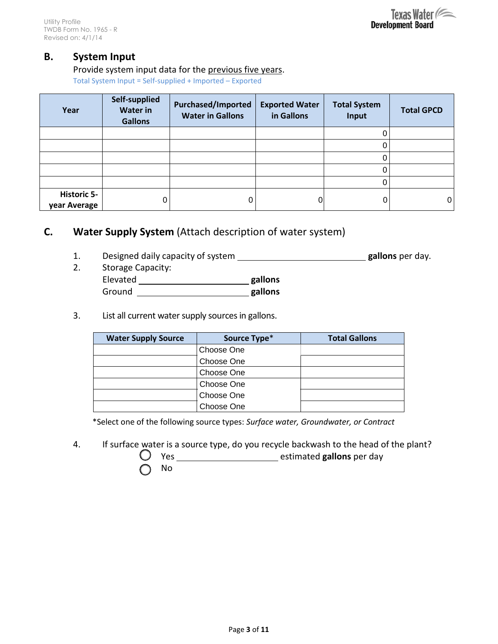#### **B. System Input**

#### Provide system input data for the previous five years.

Total System Input = Self-supplied + Imported – Exported

| Year                               | Self-supplied<br><b>Water in</b><br><b>Gallons</b> | <b>Purchased/Imported</b><br><b>Water in Gallons</b> | <b>Exported Water</b><br>in Gallons | <b>Total System</b><br>Input | <b>Total GPCD</b> |
|------------------------------------|----------------------------------------------------|------------------------------------------------------|-------------------------------------|------------------------------|-------------------|
|                                    |                                                    |                                                      |                                     | U                            |                   |
|                                    |                                                    |                                                      |                                     |                              |                   |
|                                    |                                                    |                                                      |                                     |                              |                   |
|                                    |                                                    |                                                      |                                     | 0                            |                   |
|                                    |                                                    |                                                      |                                     | 0                            |                   |
| <b>Historic 5-</b><br>year Average | 0                                                  | 0                                                    |                                     | 0                            | 0                 |

## **C. Water Supply System** (Attach description of water system)

- 1. Designed daily capacity of system **gallons** per day.
- 2. Storage Capacity: Elevated **gallons**  Ground **gallons**
- 3. List all current water supply sources in gallons.

| <b>Water Supply Source</b> | Source Type* | <b>Total Gallons</b> |
|----------------------------|--------------|----------------------|
|                            | Choose One   |                      |
|                            | Choose One   |                      |
|                            | Choose One   |                      |
|                            | Choose One   |                      |
|                            | Choose One   |                      |
|                            | Choose One   |                      |

\*Select one of the following source types: *Surface water, Groundwater, or Contract*

4. If surface water is a source type, do you recycle backwash to the head of the plant?

 $\bigcirc$  Yes <u>estimated</u> **gallons** per day

No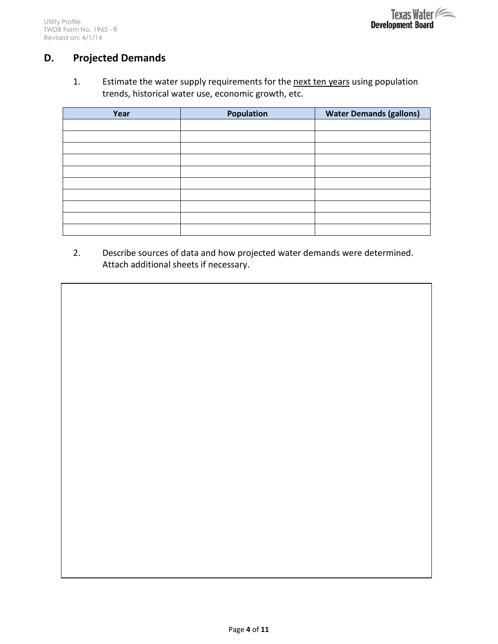# **D. Projected Demands**

1. Estimate the water supply requirements for the next ten years using population trends, historical water use, economic growth, etc.

| Year | <b>Population</b> | <b>Water Demands (gallons)</b> |
|------|-------------------|--------------------------------|
|      |                   |                                |
|      |                   |                                |
|      |                   |                                |
|      |                   |                                |
|      |                   |                                |
|      |                   |                                |
|      |                   |                                |
|      |                   |                                |
|      |                   |                                |
|      |                   |                                |

2. Describe sources of data and how projected water demands were determined. Attach additional sheets if necessary.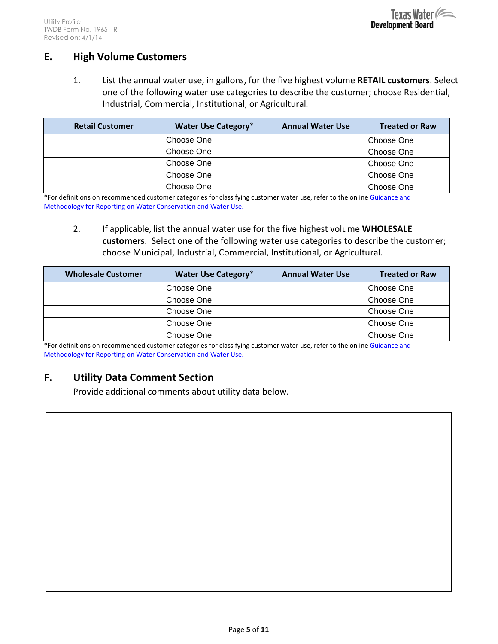

#### **E. High Volume Customers**

1. List the annual water use, in gallons, for the five highest volume **RETAIL customers**. Select one of the following water use categories to describe the customer; choose Residential, Industrial, Commercial, Institutional, or Agricultural*.*

| <b>Retail Customer</b> | <b>Water Use Category*</b> | <b>Annual Water Use</b> | <b>Treated or Raw</b> |
|------------------------|----------------------------|-------------------------|-----------------------|
|                        | Choose One                 |                         | Choose One            |
|                        | Choose One                 |                         | Choose One            |
|                        | Choose One                 |                         | Choose One            |
|                        | Choose One                 |                         | Choose One            |
|                        | Choose One                 |                         | Choose One            |

\*For definitions on recommended customer categories for classifying customer water use, refer to the online Guidance and [Methodology for Reporting on Water Conservation and Water Use.](http://www.twdb.texas.gov/conservation/doc/SB181Guidance.pdf) 

2. If applicable, list the annual water use for the five highest volume **WHOLESALE customers**. Select one of the following water use categories to describe the customer; choose Municipal, Industrial, Commercial, Institutional, or Agricultural*.*

| <b>Wholesale Customer</b> | Water Use Category* | <b>Annual Water Use</b> | <b>Treated or Raw</b> |
|---------------------------|---------------------|-------------------------|-----------------------|
|                           | Choose One          |                         | Choose One            |
|                           | Choose One          |                         | Choose One            |
|                           | Choose One          |                         | Choose One            |
|                           | Choose One          |                         | Choose One            |
|                           | Choose One          |                         | Choose One            |

\*For definitions on recommended customer categories for classifying customer water use, refer to the online [Guidance and](http://www.twdb.texas.gov/conservation/doc/SB181Guidance.pdf)  [Methodology for Reporting on Water Conservation and Water Use.](http://www.twdb.texas.gov/conservation/doc/SB181Guidance.pdf) 

#### **F. Utility Data Comment Section**

Provide additional comments about utility data below.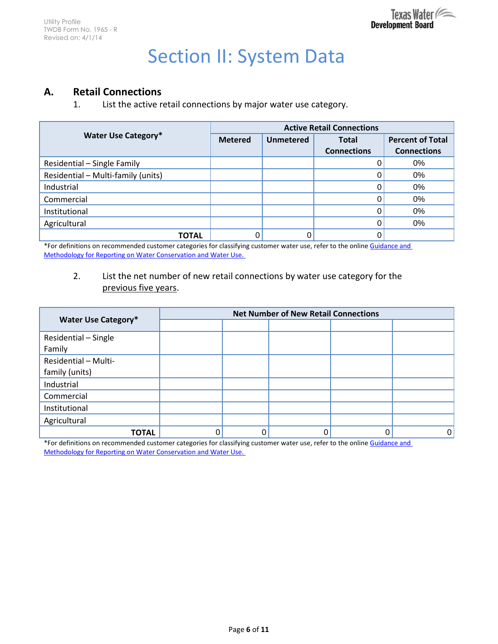# Section II: System Data

### **A. Retail Connections**

1. List the active retail connections by major water use category.

|                                    | <b>Active Retail Connections</b> |                  |                    |                         |  |
|------------------------------------|----------------------------------|------------------|--------------------|-------------------------|--|
| <b>Water Use Category*</b>         | <b>Metered</b>                   | <b>Unmetered</b> | <b>Total</b>       | <b>Percent of Total</b> |  |
|                                    |                                  |                  | <b>Connections</b> | <b>Connections</b>      |  |
| Residential - Single Family        |                                  |                  |                    | 0%                      |  |
| Residential - Multi-family (units) |                                  |                  |                    | 0%                      |  |
| Industrial                         |                                  |                  |                    | 0%                      |  |
| Commercial                         |                                  |                  |                    | 0%                      |  |
| Institutional                      |                                  |                  |                    | 0%                      |  |
| Agricultural                       |                                  |                  |                    | 0%                      |  |
| <b>TOTAL</b>                       |                                  |                  |                    |                         |  |

\*For definitions on recommended customer categories for classifying customer water use, refer to the online Guidance and [Methodology for Reporting on Water Conservation and Water Use.](http://www.twdb.texas.gov/conservation/doc/SB181Guidance.pdf) 

#### 2. List the net number of new retail connections by water use category for the previous five years.

|                            | <b>Net Number of New Retail Connections</b> |  |  |  |   |  |
|----------------------------|---------------------------------------------|--|--|--|---|--|
| <b>Water Use Category*</b> |                                             |  |  |  |   |  |
| Residential - Single       |                                             |  |  |  |   |  |
| Family                     |                                             |  |  |  |   |  |
| Residential - Multi-       |                                             |  |  |  |   |  |
| family (units)             |                                             |  |  |  |   |  |
| Industrial                 |                                             |  |  |  |   |  |
| Commercial                 |                                             |  |  |  |   |  |
| Institutional              |                                             |  |  |  |   |  |
| Agricultural               |                                             |  |  |  |   |  |
| <b>TOTAL</b>               | 0                                           |  |  |  | 0 |  |

\*For definitions on recommended customer categories for classifying customer water use, refer to the online Guidance and [Methodology for Reporting on Water Conservation and Water Use.](http://www.twdb.texas.gov/conservation/doc/SB181Guidance.pdf)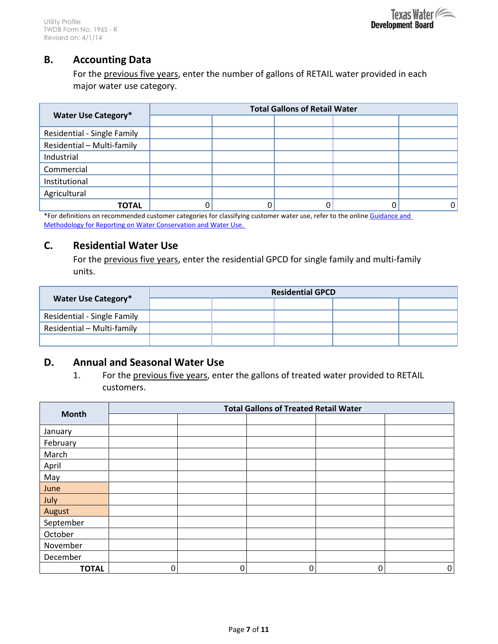#### **B. Accounting Data**

For the previous five years, enter the number of gallons of RETAIL water provided in each major water use category.

|                             | <b>Total Gallons of Retail Water</b> |  |  |  |    |  |  |
|-----------------------------|--------------------------------------|--|--|--|----|--|--|
| <b>Water Use Category*</b>  |                                      |  |  |  |    |  |  |
| Residential - Single Family |                                      |  |  |  |    |  |  |
| Residential - Multi-family  |                                      |  |  |  |    |  |  |
| Industrial                  |                                      |  |  |  |    |  |  |
| Commercial                  |                                      |  |  |  |    |  |  |
| Institutional               |                                      |  |  |  |    |  |  |
| Agricultural                |                                      |  |  |  |    |  |  |
| ΤΟΤΑL                       | υ                                    |  |  |  | 01 |  |  |

\*For definitions on recommended customer categories for classifying customer water use, refer to the online Guidance and [Methodology for Reporting on Water Conservation and Water Use.](http://www.twdb.texas.gov/conservation/doc/SB181Guidance.pdf) 

#### **C. Residential Water Use**

For the previous five years, enter the residential GPCD for single family and multi-family units.

|                             | <b>Residential GPCD</b> |  |  |  |  |
|-----------------------------|-------------------------|--|--|--|--|
| Water Use Category*         |                         |  |  |  |  |
| Residential - Single Family |                         |  |  |  |  |
| Residential - Multi-family  |                         |  |  |  |  |
|                             |                         |  |  |  |  |

#### **D. Annual and Seasonal Water Use**

1. For the previous five years, enter the gallons of treated water provided to RETAIL customers.

|              | <b>Total Gallons of Treated Retail Water</b> |   |   |   |   |
|--------------|----------------------------------------------|---|---|---|---|
| <b>Month</b> |                                              |   |   |   |   |
| January      |                                              |   |   |   |   |
| February     |                                              |   |   |   |   |
| March        |                                              |   |   |   |   |
| April        |                                              |   |   |   |   |
| May          |                                              |   |   |   |   |
| June         |                                              |   |   |   |   |
| July         |                                              |   |   |   |   |
| August       |                                              |   |   |   |   |
| September    |                                              |   |   |   |   |
| October      |                                              |   |   |   |   |
| November     |                                              |   |   |   |   |
| December     |                                              |   |   |   |   |
| <b>TOTAL</b> | 0                                            | 0 | 0 | ი | 0 |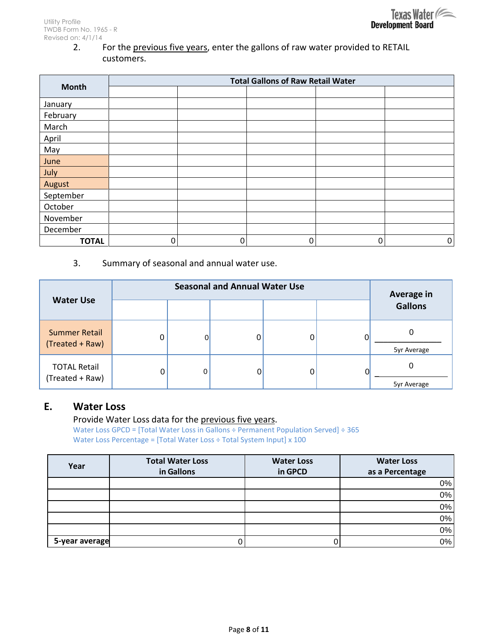2. For the previous five years, enter the gallons of raw water provided to RETAIL customers.

|              | <b>Total Gallons of Raw Retail Water</b> |   |   |   |   |
|--------------|------------------------------------------|---|---|---|---|
| <b>Month</b> |                                          |   |   |   |   |
| January      |                                          |   |   |   |   |
| February     |                                          |   |   |   |   |
| March        |                                          |   |   |   |   |
| April        |                                          |   |   |   |   |
| May          |                                          |   |   |   |   |
| June         |                                          |   |   |   |   |
| July         |                                          |   |   |   |   |
| August       |                                          |   |   |   |   |
| September    |                                          |   |   |   |   |
| October      |                                          |   |   |   |   |
| November     |                                          |   |   |   |   |
| December     |                                          |   |   |   |   |
| <b>TOTAL</b> | 0                                        | 0 | 0 | 0 | 0 |

3. Summary of seasonal and annual water use.

| <b>Water Use</b>                        | <b>Seasonal and Annual Water Use</b> |   |  |  | Average in |                  |
|-----------------------------------------|--------------------------------------|---|--|--|------------|------------------|
|                                         |                                      |   |  |  |            | <b>Gallons</b>   |
| <b>Summer Retail</b><br>(Treated + Raw) | 0                                    |   |  |  |            | 5yr Average      |
| <b>TOTAL Retail</b><br>(Treated + Raw)  | 0                                    | 0 |  |  |            | ი<br>5yr Average |

#### **E. Water Loss**

Provide Water Loss data for the previous five years. Water Loss GPCD = [Total Water Loss in Gallons ÷ Permanent Population Served] ÷ 365 Water Loss Percentage = [Total Water Loss ÷ Total System Input] x 100

| Year           | <b>Total Water Loss</b><br>in Gallons | <b>Water Loss</b><br>in GPCD | <b>Water Loss</b><br>as a Percentage |
|----------------|---------------------------------------|------------------------------|--------------------------------------|
|                |                                       |                              | 0%                                   |
|                |                                       |                              | 0%                                   |
|                |                                       |                              | 0%                                   |
|                |                                       |                              | 0%                                   |
|                |                                       |                              | 0%                                   |
| 5-year average |                                       |                              | 0%                                   |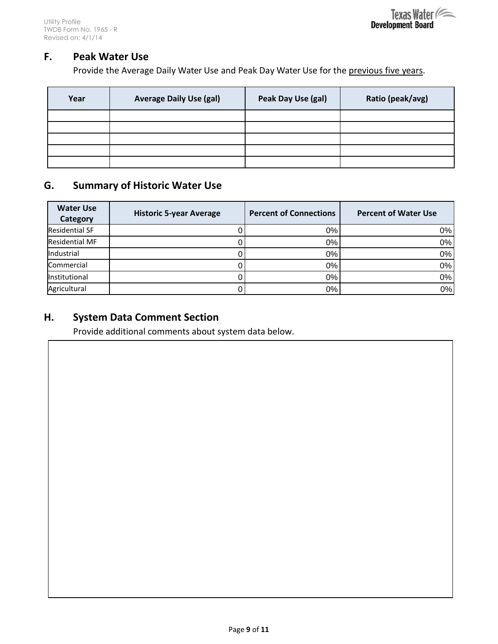

#### **F. Peak Water Use**

Provide the Average Daily Water Use and Peak Day Water Use for the previous five years.

| Year | <b>Average Daily Use (gal)</b> | Peak Day Use (gal) | Ratio (peak/avg) |
|------|--------------------------------|--------------------|------------------|
|      |                                |                    |                  |
|      |                                |                    |                  |
|      |                                |                    |                  |
|      |                                |                    |                  |
|      |                                |                    |                  |

### **G. Summary of Historic Water Use**

| <b>Water Use</b><br>Category | <b>Historic 5-year Average</b> | <b>Percent of Connections</b> | <b>Percent of Water Use</b> |
|------------------------------|--------------------------------|-------------------------------|-----------------------------|
| <b>Residential SF</b>        |                                | 0%                            | 0%                          |
| <b>Residential MF</b>        |                                | 0%                            | $0\%$                       |
| Industrial                   |                                | 0%                            | $0\%$                       |
| Commercial                   |                                | 0%                            | 0%                          |
| Institutional                |                                | 0%                            | 0%                          |
| Agricultural                 |                                | 0%                            | 0%                          |

#### **H. System Data Comment Section**

Provide additional comments about system data below.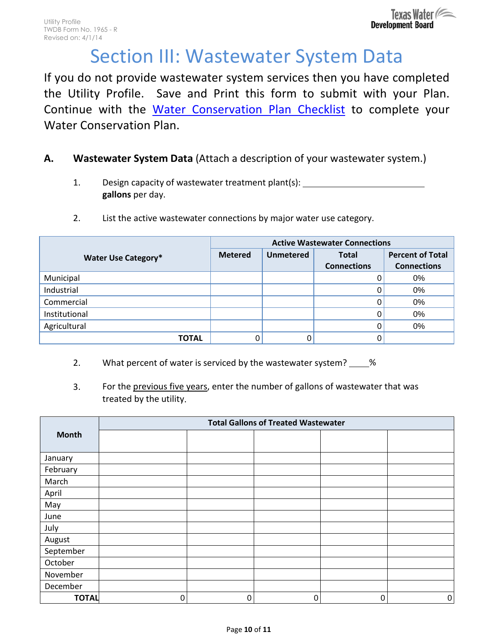# Section III: Wastewater System Data

If you do not provide wastewater system services then you have completed the Utility Profile. Save and Print this form to submit with your Plan. Continue with the [Water Conservation Plan Checklist](http://www.twdb.texas.gov/conservation/municipal/plans/doc/WCPChecklist.pdf) to complete your Water Conservation Plan.

# **A. Wastewater System Data** (Attach a description of your wastewater system.)

- 1. Design capacity of wastewater treatment plant(s): \_\_\_\_ **gallons** per day.
- 2. List the active wastewater connections by major water use category.

|                            | <b>Active Wastewater Connections</b> |                  |                    |                         |  |
|----------------------------|--------------------------------------|------------------|--------------------|-------------------------|--|
| <b>Water Use Category*</b> | <b>Metered</b>                       | <b>Unmetered</b> | <b>Total</b>       | <b>Percent of Total</b> |  |
|                            |                                      |                  | <b>Connections</b> | <b>Connections</b>      |  |
| Municipal                  |                                      |                  |                    | 0%                      |  |
| Industrial                 |                                      |                  |                    | 0%                      |  |
| Commercial                 |                                      |                  |                    | 0%                      |  |
| Institutional              |                                      |                  |                    | 0%                      |  |
| Agricultural               |                                      |                  |                    | 0%                      |  |
| TOTAL                      |                                      |                  |                    |                         |  |

- 2. What percent of water is serviced by the wastewater system? %
- 3. For the previous five years, enter the number of gallons of wastewater that was treated by the utility.

|              | <b>Total Gallons of Treated Wastewater</b> |   |   |   |             |
|--------------|--------------------------------------------|---|---|---|-------------|
| <b>Month</b> |                                            |   |   |   |             |
|              |                                            |   |   |   |             |
| January      |                                            |   |   |   |             |
| February     |                                            |   |   |   |             |
| March        |                                            |   |   |   |             |
| April        |                                            |   |   |   |             |
| May          |                                            |   |   |   |             |
| June         |                                            |   |   |   |             |
| July         |                                            |   |   |   |             |
| August       |                                            |   |   |   |             |
| September    |                                            |   |   |   |             |
| October      |                                            |   |   |   |             |
| November     |                                            |   |   |   |             |
| December     |                                            |   |   |   |             |
| <b>TOTAL</b> | 0                                          | 0 | 0 | 0 | $\mathbf 0$ |